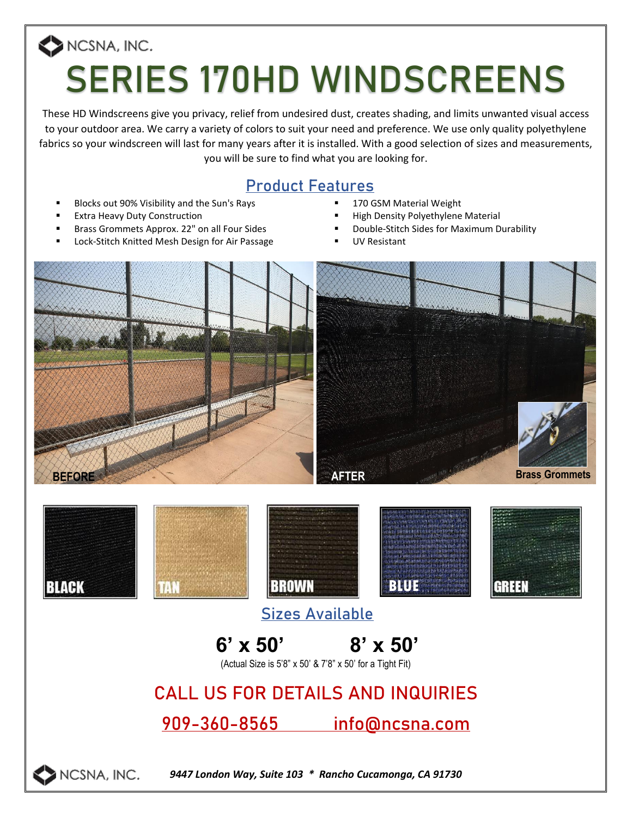# NCSNA, INC. **SERIES 170HD WINDSCREENS**

These HD Windscreens give you privacy, relief from undesired dust, creates shading, and limits unwanted visual access to your outdoor area. We carry a variety of colors to suit your need and preference. We use only quality polyethylene fabrics so your windscreen will last for many years after it is installed. With a good selection of sizes and measurements, you will be sure to find what you are looking for.

#### **Product Features**

- Blocks out 90% Visibility and the Sun's Rays **. 170 GSM Material Weight**
- 
- 
- Lock-Stitch Knitted Mesh Design for Air Passage **· Passage** UV Resistant
- 
- **Extra Heavy Duty Construction**  $\blacksquare$  **High Density Polyethylene Material**
- Brass Grommets Approx. 22" on all Four Sides **· Franklich Sides 10 Pull Pull Accord Franklich** Durability
	-





### **Sizes Available**



(Actual Size is 5'8" x 50' & 7'8" x 50' for a Tight Fit)

## **CALL US FOR DETAILS AND INQUIRIES**

#### **909-360-8565 info@ncsna.com**



*9447 London Way, Suite 103 \* Rancho Cucamonga, CA 91730*